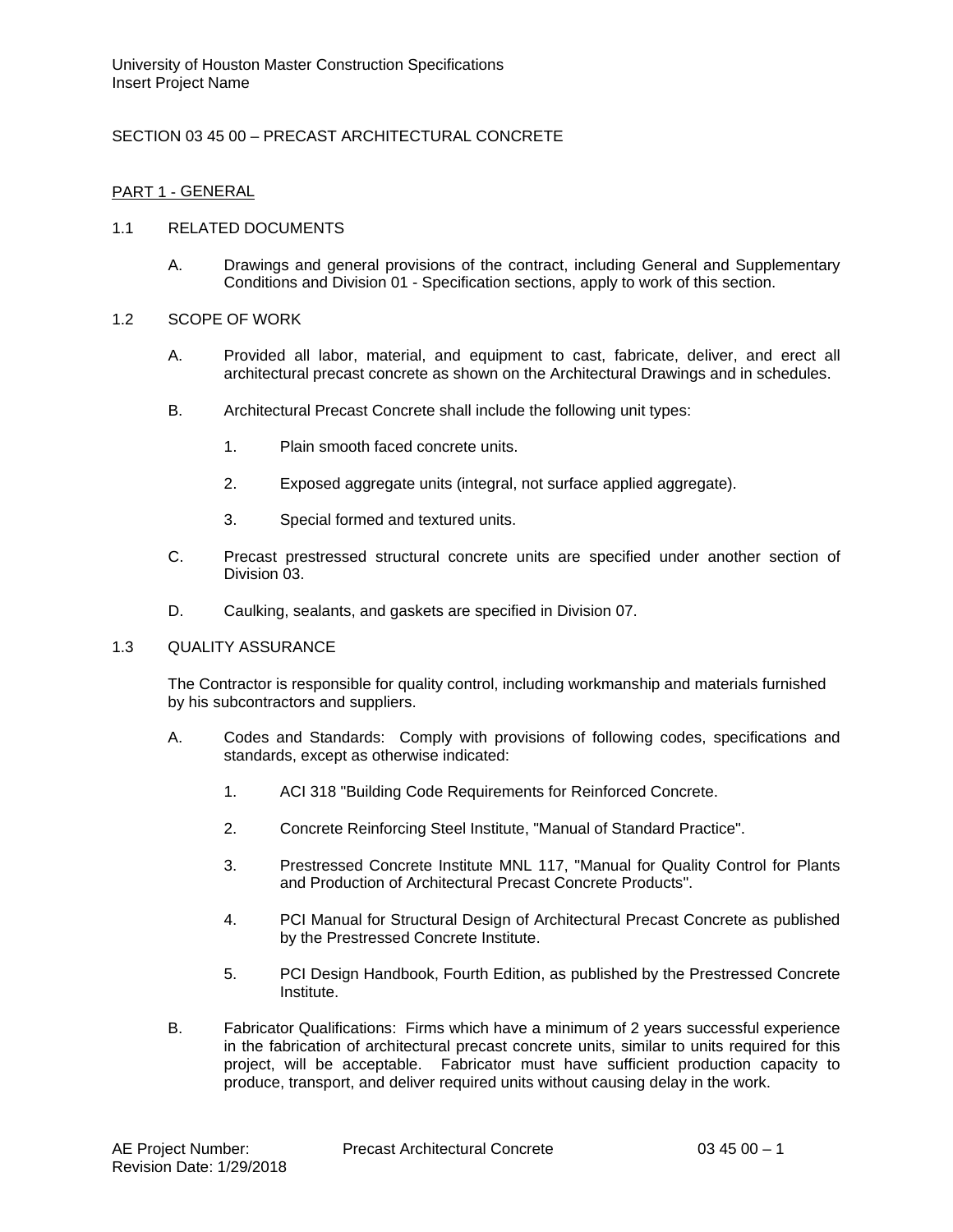# SECTION 03 45 00 – PRECAST ARCHITECTURAL CONCRETE

# PART 1 - GENERAL

### 1.1 RELATED DOCUMENTS

A. Drawings and general provisions of the contract, including General and Supplementary Conditions and Division 01 - Specification sections, apply to work of this section.

### 1.2 SCOPE OF WORK

- A. Provided all labor, material, and equipment to cast, fabricate, deliver, and erect all architectural precast concrete as shown on the Architectural Drawings and in schedules.
- B. Architectural Precast Concrete shall include the following unit types:
	- 1. Plain smooth faced concrete units.
	- 2. Exposed aggregate units (integral, not surface applied aggregate).
	- 3. Special formed and textured units.
- C. Precast prestressed structural concrete units are specified under another section of Division 03.
- D. Caulking, sealants, and gaskets are specified in Division 07.

#### 1.3 QUALITY ASSURANCE

The Contractor is responsible for quality control, including workmanship and materials furnished by his subcontractors and suppliers.

- A. Codes and Standards: Comply with provisions of following codes, specifications and standards, except as otherwise indicated:
	- 1. ACI 318 "Building Code Requirements for Reinforced Concrete.
	- 2. Concrete Reinforcing Steel Institute, "Manual of Standard Practice".
	- 3. Prestressed Concrete Institute MNL 117, "Manual for Quality Control for Plants and Production of Architectural Precast Concrete Products".
	- 4. PCI Manual for Structural Design of Architectural Precast Concrete as published by the Prestressed Concrete Institute.
	- 5. PCI Design Handbook, Fourth Edition, as published by the Prestressed Concrete Institute.
- B. Fabricator Qualifications: Firms which have a minimum of 2 years successful experience in the fabrication of architectural precast concrete units, similar to units required for this project, will be acceptable. Fabricator must have sufficient production capacity to produce, transport, and deliver required units without causing delay in the work.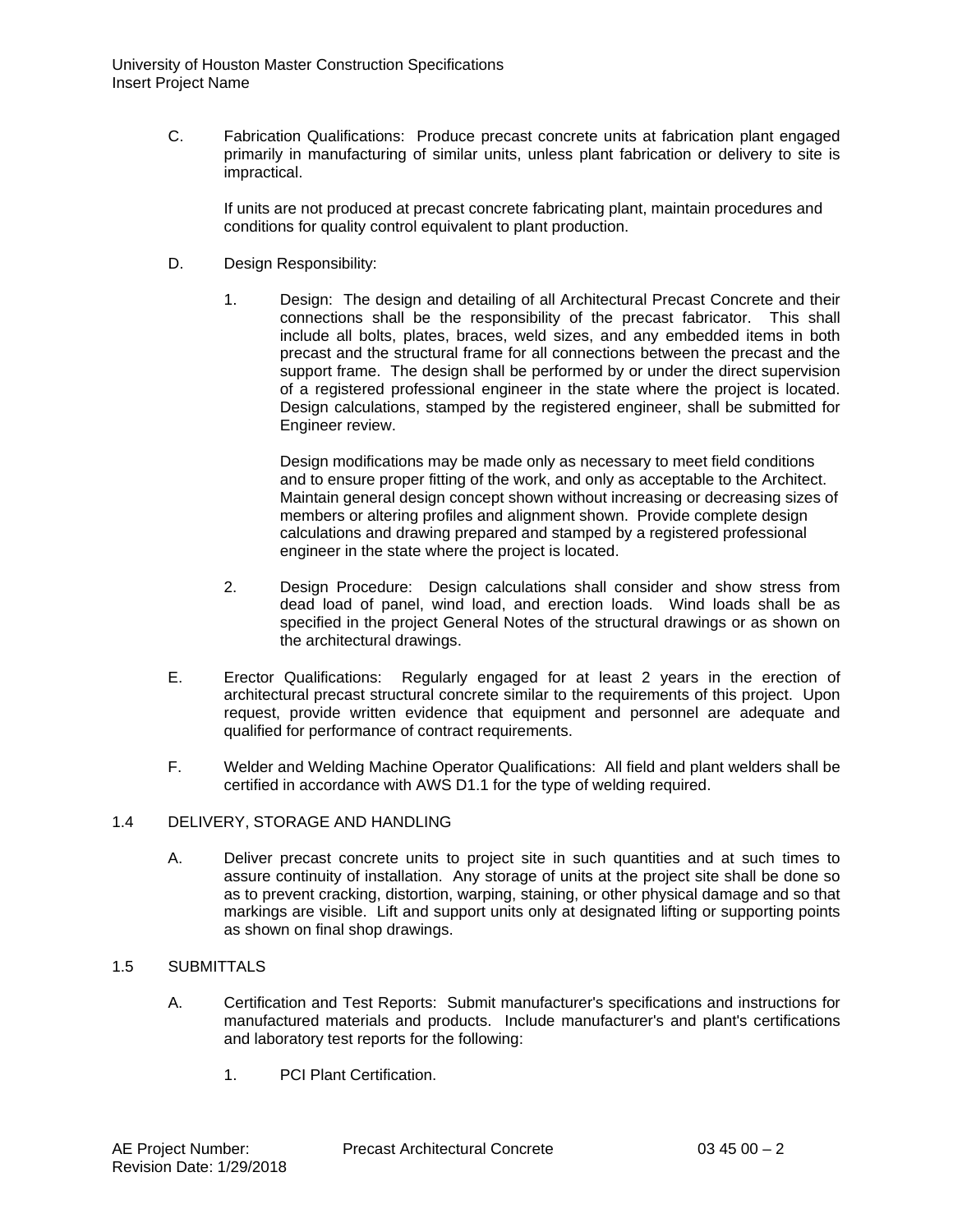C. Fabrication Qualifications: Produce precast concrete units at fabrication plant engaged primarily in manufacturing of similar units, unless plant fabrication or delivery to site is impractical.

If units are not produced at precast concrete fabricating plant, maintain procedures and conditions for quality control equivalent to plant production.

- D. Design Responsibility:
	- 1. Design: The design and detailing of all Architectural Precast Concrete and their connections shall be the responsibility of the precast fabricator. This shall include all bolts, plates, braces, weld sizes, and any embedded items in both precast and the structural frame for all connections between the precast and the support frame. The design shall be performed by or under the direct supervision of a registered professional engineer in the state where the project is located. Design calculations, stamped by the registered engineer, shall be submitted for Engineer review.

Design modifications may be made only as necessary to meet field conditions and to ensure proper fitting of the work, and only as acceptable to the Architect. Maintain general design concept shown without increasing or decreasing sizes of members or altering profiles and alignment shown. Provide complete design calculations and drawing prepared and stamped by a registered professional engineer in the state where the project is located.

- 2. Design Procedure: Design calculations shall consider and show stress from dead load of panel, wind load, and erection loads. Wind loads shall be as specified in the project General Notes of the structural drawings or as shown on the architectural drawings.
- E. Erector Qualifications: Regularly engaged for at least 2 years in the erection of architectural precast structural concrete similar to the requirements of this project. Upon request, provide written evidence that equipment and personnel are adequate and qualified for performance of contract requirements.
- F. Welder and Welding Machine Operator Qualifications: All field and plant welders shall be certified in accordance with AWS D1.1 for the type of welding required.

# 1.4 DELIVERY, STORAGE AND HANDLING

A. Deliver precast concrete units to project site in such quantities and at such times to assure continuity of installation. Any storage of units at the project site shall be done so as to prevent cracking, distortion, warping, staining, or other physical damage and so that markings are visible. Lift and support units only at designated lifting or supporting points as shown on final shop drawings.

# 1.5 SUBMITTALS

- A. Certification and Test Reports: Submit manufacturer's specifications and instructions for manufactured materials and products. Include manufacturer's and plant's certifications and laboratory test reports for the following:
	- 1. PCI Plant Certification.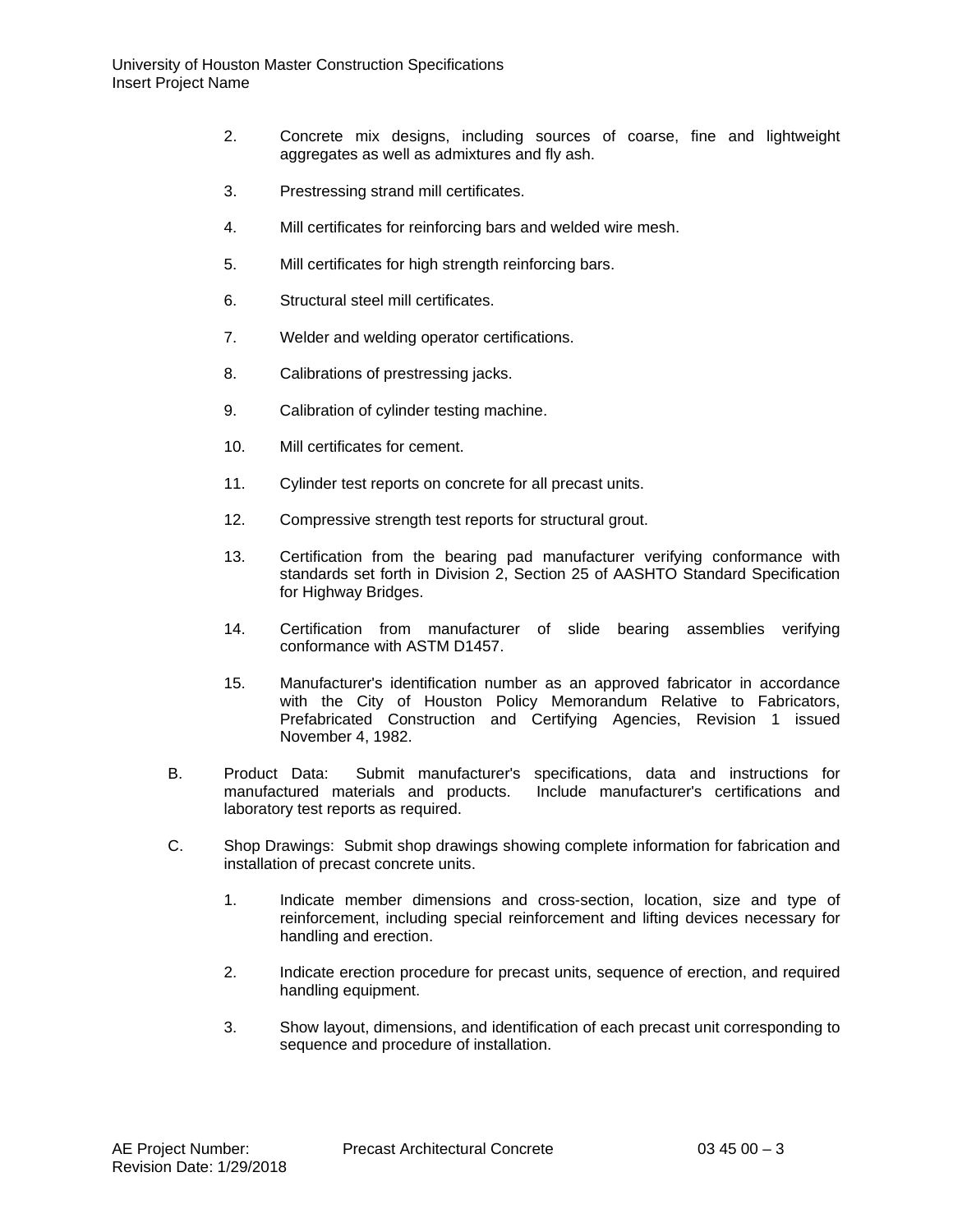- 2. Concrete mix designs, including sources of coarse, fine and lightweight aggregates as well as admixtures and fly ash.
- 3. Prestressing strand mill certificates.
- 4. Mill certificates for reinforcing bars and welded wire mesh.
- 5. Mill certificates for high strength reinforcing bars.
- 6. Structural steel mill certificates.
- 7. Welder and welding operator certifications.
- 8. Calibrations of prestressing jacks.
- 9. Calibration of cylinder testing machine.
- 10. Mill certificates for cement.
- 11. Cylinder test reports on concrete for all precast units.
- 12. Compressive strength test reports for structural grout.
- 13. Certification from the bearing pad manufacturer verifying conformance with standards set forth in Division 2, Section 25 of AASHTO Standard Specification for Highway Bridges.
- 14. Certification from manufacturer of slide bearing assemblies verifying conformance with ASTM D1457.
- 15. Manufacturer's identification number as an approved fabricator in accordance with the City of Houston Policy Memorandum Relative to Fabricators, Prefabricated Construction and Certifying Agencies, Revision 1 issued November 4, 1982.
- B. Product Data: Submit manufacturer's specifications, data and instructions for manufactured materials and products. Include manufacturer's certifications and laboratory test reports as required.
- C. Shop Drawings: Submit shop drawings showing complete information for fabrication and installation of precast concrete units.
	- 1. Indicate member dimensions and cross-section, location, size and type of reinforcement, including special reinforcement and lifting devices necessary for handling and erection.
	- 2. Indicate erection procedure for precast units, sequence of erection, and required handling equipment.
	- 3. Show layout, dimensions, and identification of each precast unit corresponding to sequence and procedure of installation.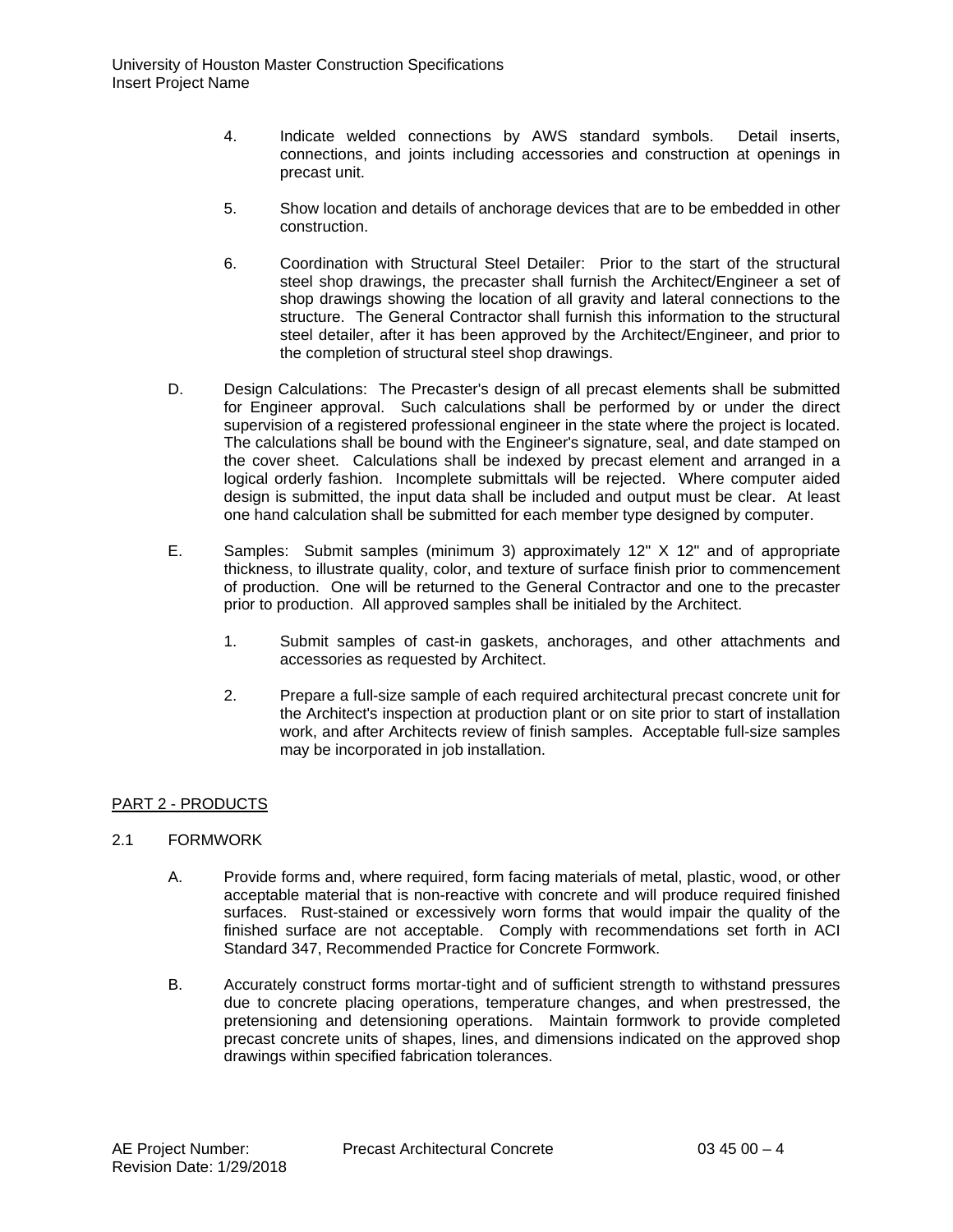- 4. Indicate welded connections by AWS standard symbols. Detail inserts, connections, and joints including accessories and construction at openings in precast unit.
- 5. Show location and details of anchorage devices that are to be embedded in other construction.
- 6. Coordination with Structural Steel Detailer: Prior to the start of the structural steel shop drawings, the precaster shall furnish the Architect/Engineer a set of shop drawings showing the location of all gravity and lateral connections to the structure. The General Contractor shall furnish this information to the structural steel detailer, after it has been approved by the Architect/Engineer, and prior to the completion of structural steel shop drawings.
- D. Design Calculations: The Precaster's design of all precast elements shall be submitted for Engineer approval. Such calculations shall be performed by or under the direct supervision of a registered professional engineer in the state where the project is located. The calculations shall be bound with the Engineer's signature, seal, and date stamped on the cover sheet. Calculations shall be indexed by precast element and arranged in a logical orderly fashion. Incomplete submittals will be rejected. Where computer aided design is submitted, the input data shall be included and output must be clear. At least one hand calculation shall be submitted for each member type designed by computer.
- E. Samples: Submit samples (minimum 3) approximately 12" X 12" and of appropriate thickness, to illustrate quality, color, and texture of surface finish prior to commencement of production. One will be returned to the General Contractor and one to the precaster prior to production. All approved samples shall be initialed by the Architect.
	- 1. Submit samples of cast-in gaskets, anchorages, and other attachments and accessories as requested by Architect.
	- 2. Prepare a full-size sample of each required architectural precast concrete unit for the Architect's inspection at production plant or on site prior to start of installation work, and after Architects review of finish samples. Acceptable full-size samples may be incorporated in job installation.

# PART 2 - PRODUCTS

# 2.1 FORMWORK

- A. Provide forms and, where required, form facing materials of metal, plastic, wood, or other acceptable material that is non-reactive with concrete and will produce required finished surfaces. Rust-stained or excessively worn forms that would impair the quality of the finished surface are not acceptable. Comply with recommendations set forth in ACI Standard 347, Recommended Practice for Concrete Formwork.
- B. Accurately construct forms mortar-tight and of sufficient strength to withstand pressures due to concrete placing operations, temperature changes, and when prestressed, the pretensioning and detensioning operations. Maintain formwork to provide completed precast concrete units of shapes, lines, and dimensions indicated on the approved shop drawings within specified fabrication tolerances.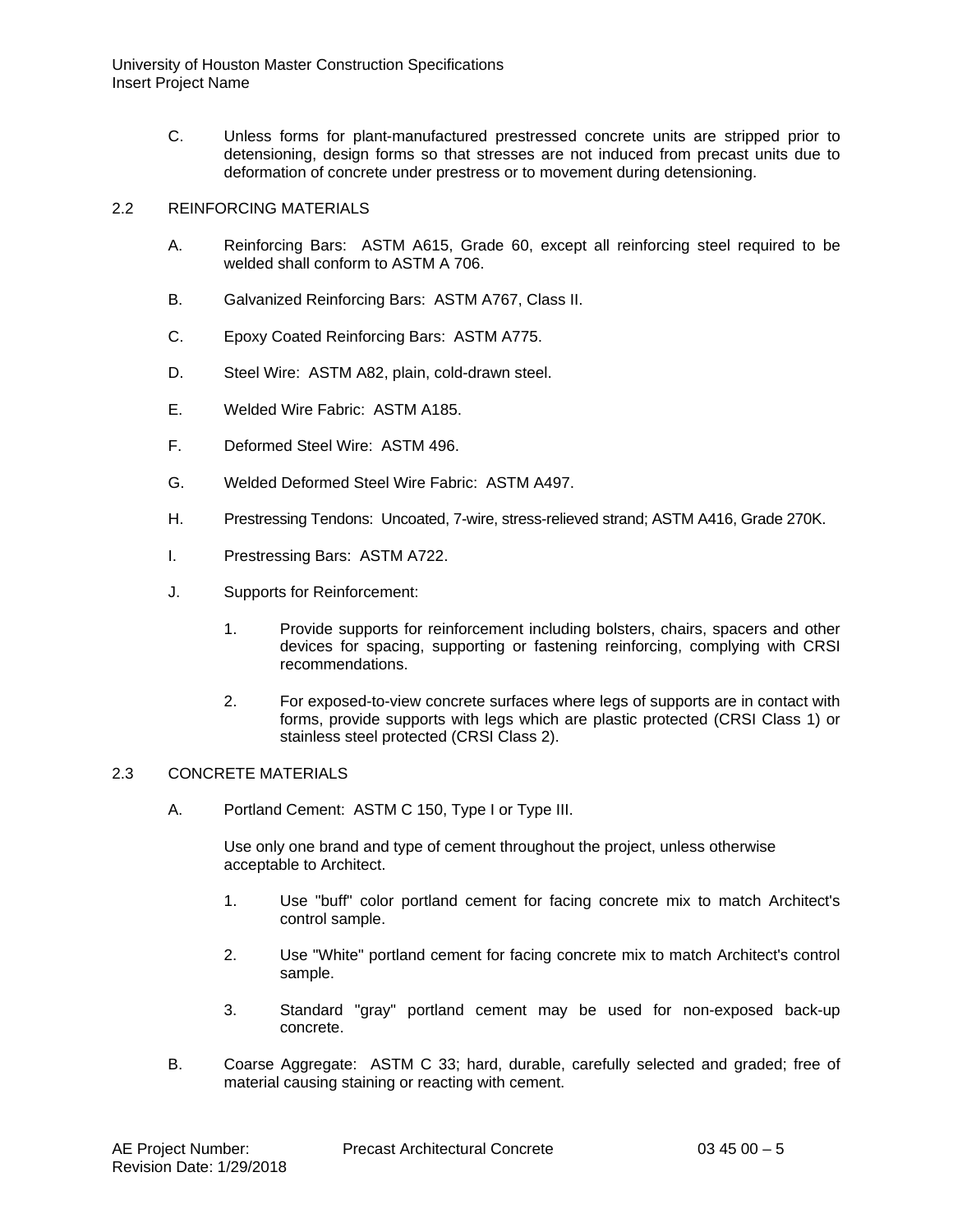- C. Unless forms for plant-manufactured prestressed concrete units are stripped prior to detensioning, design forms so that stresses are not induced from precast units due to deformation of concrete under prestress or to movement during detensioning.
- 2.2 REINFORCING MATERIALS
	- A. Reinforcing Bars: ASTM A615, Grade 60, except all reinforcing steel required to be welded shall conform to ASTM A 706.
	- B. Galvanized Reinforcing Bars: ASTM A767, Class II.
	- C. Epoxy Coated Reinforcing Bars: ASTM A775.
	- D. Steel Wire: ASTM A82, plain, cold-drawn steel.
	- E. Welded Wire Fabric: ASTM A185.
	- F. Deformed Steel Wire: ASTM 496.
	- G. Welded Deformed Steel Wire Fabric: ASTM A497.
	- H. Prestressing Tendons: Uncoated, 7-wire, stress-relieved strand; ASTM A416, Grade 270K.
	- I. Prestressing Bars: ASTM A722.
	- J. Supports for Reinforcement:
		- 1. Provide supports for reinforcement including bolsters, chairs, spacers and other devices for spacing, supporting or fastening reinforcing, complying with CRSI recommendations.
		- 2. For exposed-to-view concrete surfaces where legs of supports are in contact with forms, provide supports with legs which are plastic protected (CRSI Class 1) or stainless steel protected (CRSI Class 2).

# 2.3 CONCRETE MATERIALS

A. Portland Cement: ASTM C 150, Type I or Type III.

Use only one brand and type of cement throughout the project, unless otherwise acceptable to Architect.

- 1. Use "buff" color portland cement for facing concrete mix to match Architect's control sample.
- 2. Use "White" portland cement for facing concrete mix to match Architect's control sample.
- 3. Standard "gray" portland cement may be used for non-exposed back-up concrete.
- B. Coarse Aggregate: ASTM C 33; hard, durable, carefully selected and graded; free of material causing staining or reacting with cement.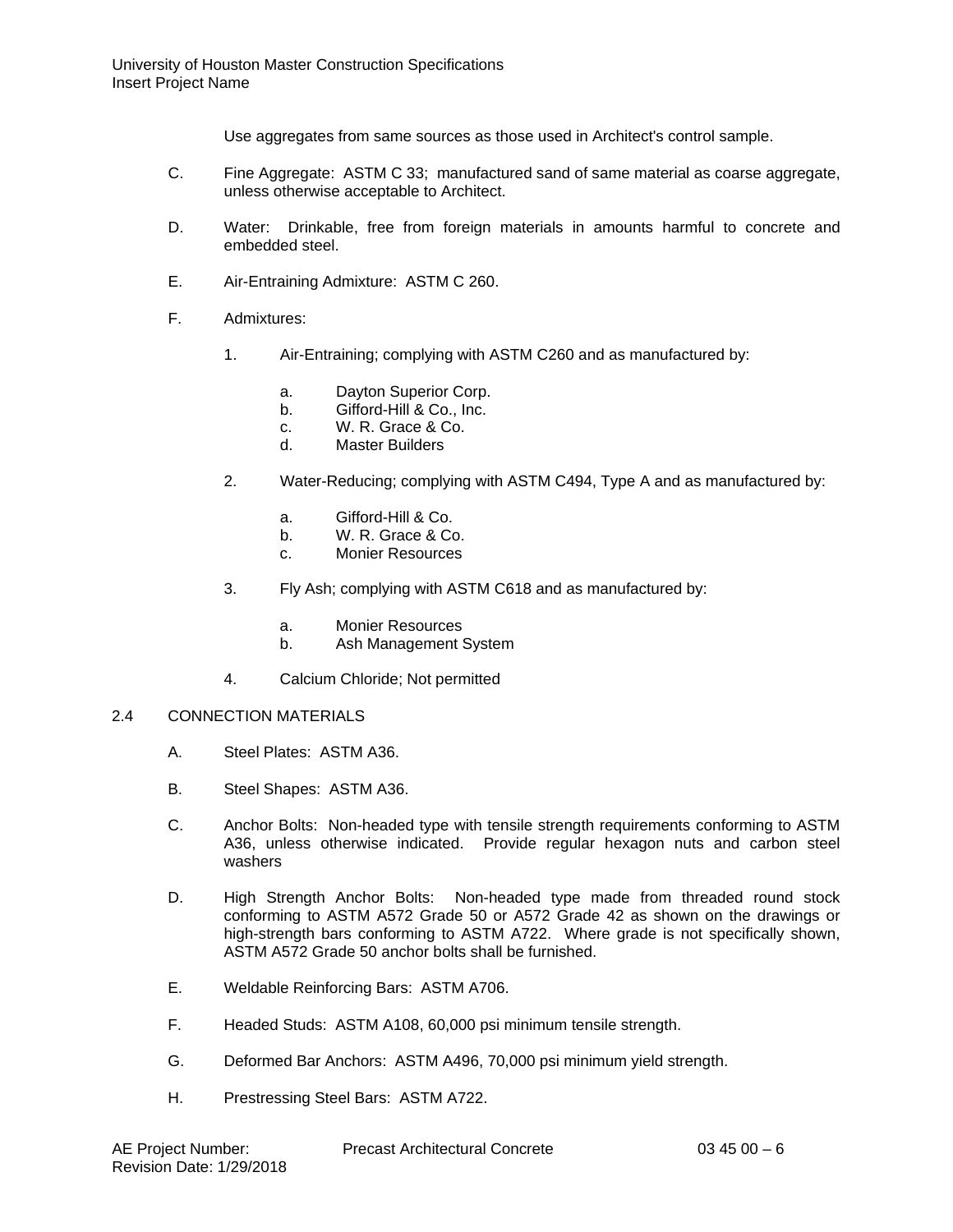Use aggregates from same sources as those used in Architect's control sample.

- C. Fine Aggregate: ASTM C 33; manufactured sand of same material as coarse aggregate, unless otherwise acceptable to Architect.
- D. Water: Drinkable, free from foreign materials in amounts harmful to concrete and embedded steel.
- E. Air-Entraining Admixture: ASTM C 260.
- F. Admixtures:
	- 1. Air-Entraining; complying with ASTM C260 and as manufactured by:
		- a. Dayton Superior Corp.
		- b. Gifford-Hill & Co., Inc.
		- c. W. R. Grace & Co.<br>d. Master Builders
		- Master Builders
	- 2. Water-Reducing; complying with ASTM C494, Type A and as manufactured by:
		- a. Gifford-Hill & Co.
		- b. W. R. Grace & Co.
		- c. Monier Resources
	- 3. Fly Ash; complying with ASTM C618 and as manufactured by:
		- a. Monier Resources
		- b. Ash Management System
	- 4. Calcium Chloride; Not permitted

#### 2.4 CONNECTION MATERIALS

- A. Steel Plates: ASTM A36.
- B. Steel Shapes: ASTM A36.
- C. Anchor Bolts: Non-headed type with tensile strength requirements conforming to ASTM A36, unless otherwise indicated. Provide regular hexagon nuts and carbon steel washers
- D. High Strength Anchor Bolts: Non-headed type made from threaded round stock conforming to ASTM A572 Grade 50 or A572 Grade 42 as shown on the drawings or high-strength bars conforming to ASTM A722. Where grade is not specifically shown, ASTM A572 Grade 50 anchor bolts shall be furnished.
- E. Weldable Reinforcing Bars: ASTM A706.
- F. Headed Studs: ASTM A108, 60,000 psi minimum tensile strength.
- G. Deformed Bar Anchors: ASTM A496, 70,000 psi minimum yield strength.
- H. Prestressing Steel Bars: ASTM A722.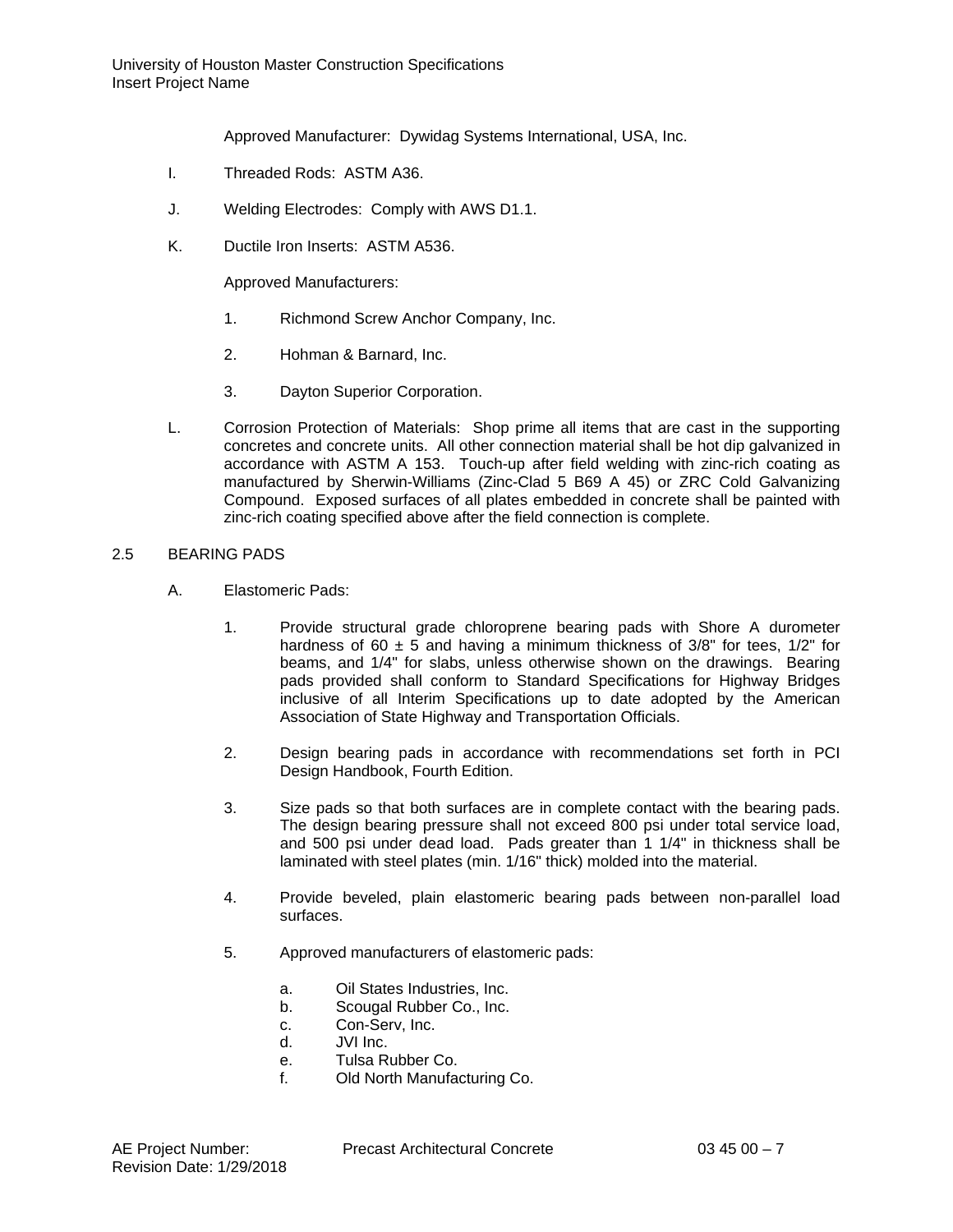Approved Manufacturer: Dywidag Systems International, USA, Inc.

- I. Threaded Rods: ASTM A36.
- J. Welding Electrodes: Comply with AWS D1.1.
- K. Ductile Iron Inserts: ASTM A536.

Approved Manufacturers:

- 1. Richmond Screw Anchor Company, Inc.
- 2. Hohman & Barnard, Inc.
- 3. Dayton Superior Corporation.
- L. Corrosion Protection of Materials: Shop prime all items that are cast in the supporting concretes and concrete units. All other connection material shall be hot dip galvanized in accordance with ASTM A 153. Touch-up after field welding with zinc-rich coating as manufactured by Sherwin-Williams (Zinc-Clad 5 B69 A 45) or ZRC Cold Galvanizing Compound. Exposed surfaces of all plates embedded in concrete shall be painted with zinc-rich coating specified above after the field connection is complete.

### 2.5 BEARING PADS

- A. Elastomeric Pads:
	- 1. Provide structural grade chloroprene bearing pads with Shore A durometer hardness of 60  $\pm$  5 and having a minimum thickness of 3/8" for tees, 1/2" for beams, and 1/4" for slabs, unless otherwise shown on the drawings. Bearing pads provided shall conform to Standard Specifications for Highway Bridges inclusive of all Interim Specifications up to date adopted by the American Association of State Highway and Transportation Officials.
	- 2. Design bearing pads in accordance with recommendations set forth in PCI Design Handbook, Fourth Edition.
	- 3. Size pads so that both surfaces are in complete contact with the bearing pads. The design bearing pressure shall not exceed 800 psi under total service load, and 500 psi under dead load. Pads greater than 1 1/4" in thickness shall be laminated with steel plates (min. 1/16" thick) molded into the material.
	- 4. Provide beveled, plain elastomeric bearing pads between non-parallel load surfaces.
	- 5. Approved manufacturers of elastomeric pads:
		- a. Oil States Industries, Inc.
		- b. Scougal Rubber Co., Inc.
		- c. Con-Serv, Inc.<br>d. JVI Inc.
		- JVI Inc.
		- e. Tulsa Rubber Co.
		- f. Old North Manufacturing Co.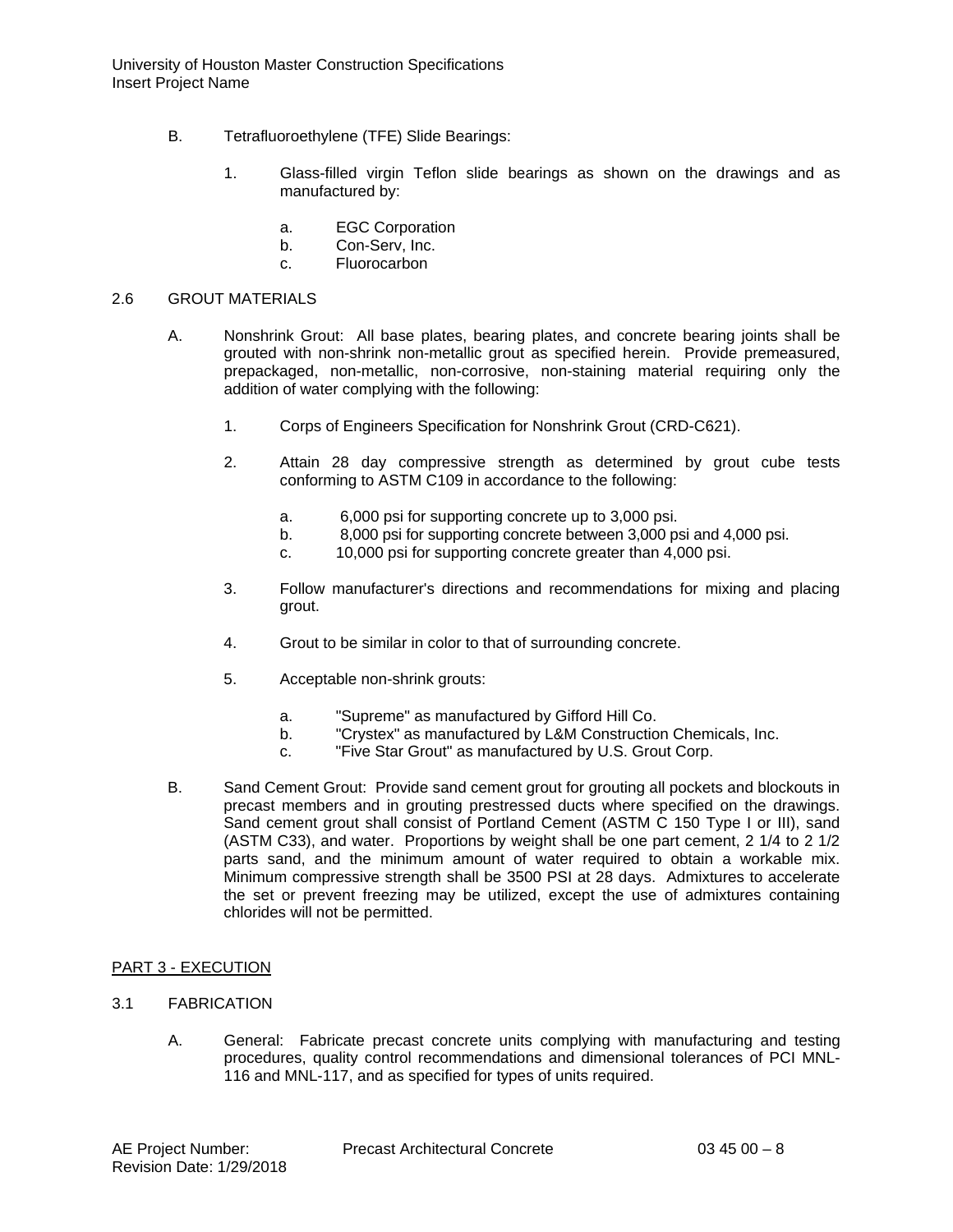University of Houston Master Construction Specifications Insert Project Name

- B. Tetrafluoroethylene (TFE) Slide Bearings:
	- 1. Glass-filled virgin Teflon slide bearings as shown on the drawings and as manufactured by:
		- a. EGC Corporation
		- b. Con-Serv, Inc.
		- c. Fluorocarbon

#### 2.6 GROUT MATERIALS

- A. Nonshrink Grout: All base plates, bearing plates, and concrete bearing joints shall be grouted with non-shrink non-metallic grout as specified herein. Provide premeasured, prepackaged, non-metallic, non-corrosive, non-staining material requiring only the addition of water complying with the following:
	- 1. Corps of Engineers Specification for Nonshrink Grout (CRD-C621).
	- 2. Attain 28 day compressive strength as determined by grout cube tests conforming to ASTM C109 in accordance to the following:
		- a. 6,000 psi for supporting concrete up to 3,000 psi.
		- b. 8,000 psi for supporting concrete between 3,000 psi and 4,000 psi.
		- c. 10,000 psi for supporting concrete greater than 4,000 psi.
	- 3. Follow manufacturer's directions and recommendations for mixing and placing grout.
	- 4. Grout to be similar in color to that of surrounding concrete.
	- 5. Acceptable non-shrink grouts:
		- a. "Supreme" as manufactured by Gifford Hill Co.
		- b. "Crystex" as manufactured by L&M Construction Chemicals, Inc.
		- c. "Five Star Grout" as manufactured by U.S. Grout Corp.
- B. Sand Cement Grout: Provide sand cement grout for grouting all pockets and blockouts in precast members and in grouting prestressed ducts where specified on the drawings. Sand cement grout shall consist of Portland Cement (ASTM C 150 Type I or III), sand (ASTM C33), and water. Proportions by weight shall be one part cement, 2 1/4 to 2 1/2 parts sand, and the minimum amount of water required to obtain a workable mix. Minimum compressive strength shall be 3500 PSI at 28 days. Admixtures to accelerate the set or prevent freezing may be utilized, except the use of admixtures containing chlorides will not be permitted.

### PART 3 - EXECUTION

- 3.1 FABRICATION
	- A. General: Fabricate precast concrete units complying with manufacturing and testing procedures, quality control recommendations and dimensional tolerances of PCI MNL-116 and MNL-117, and as specified for types of units required.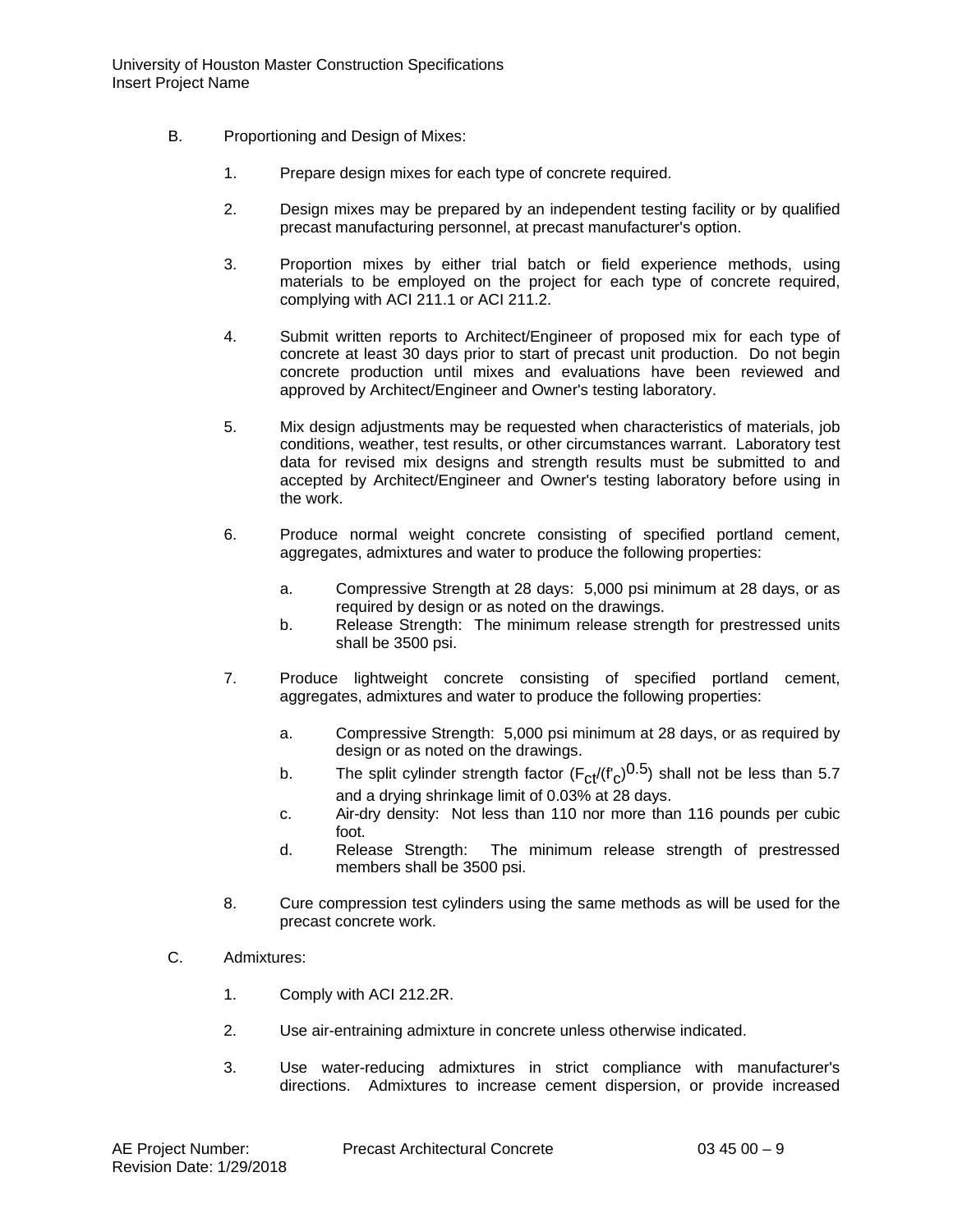- B. Proportioning and Design of Mixes:
	- 1. Prepare design mixes for each type of concrete required.
	- 2. Design mixes may be prepared by an independent testing facility or by qualified precast manufacturing personnel, at precast manufacturer's option.
	- 3. Proportion mixes by either trial batch or field experience methods, using materials to be employed on the project for each type of concrete required, complying with ACI 211.1 or ACI 211.2.
	- 4. Submit written reports to Architect/Engineer of proposed mix for each type of concrete at least 30 days prior to start of precast unit production. Do not begin concrete production until mixes and evaluations have been reviewed and approved by Architect/Engineer and Owner's testing laboratory.
	- 5. Mix design adjustments may be requested when characteristics of materials, job conditions, weather, test results, or other circumstances warrant. Laboratory test data for revised mix designs and strength results must be submitted to and accepted by Architect/Engineer and Owner's testing laboratory before using in the work.
	- 6. Produce normal weight concrete consisting of specified portland cement, aggregates, admixtures and water to produce the following properties:
		- a. Compressive Strength at 28 days: 5,000 psi minimum at 28 days, or as required by design or as noted on the drawings.
		- b. Release Strength: The minimum release strength for prestressed units shall be 3500 psi.
	- 7. Produce lightweight concrete consisting of specified portland cement, aggregates, admixtures and water to produce the following properties:
		- a. Compressive Strength: 5,000 psi minimum at 28 days, or as required by design or as noted on the drawings.
		- b. The split cylinder strength factor  $(F_{cf}/(f'_{c})^{0.5})$  shall not be less than 5.7 and a drying shrinkage limit of 0.03% at 28 days.
		- c. Air-dry density: Not less than 110 nor more than 116 pounds per cubic foot.
		- d. Release Strength: The minimum release strength of prestressed members shall be 3500 psi.
	- 8. Cure compression test cylinders using the same methods as will be used for the precast concrete work.
- C. Admixtures:
	- 1. Comply with ACI 212.2R.
	- 2. Use air-entraining admixture in concrete unless otherwise indicated.
	- 3. Use water-reducing admixtures in strict compliance with manufacturer's directions. Admixtures to increase cement dispersion, or provide increased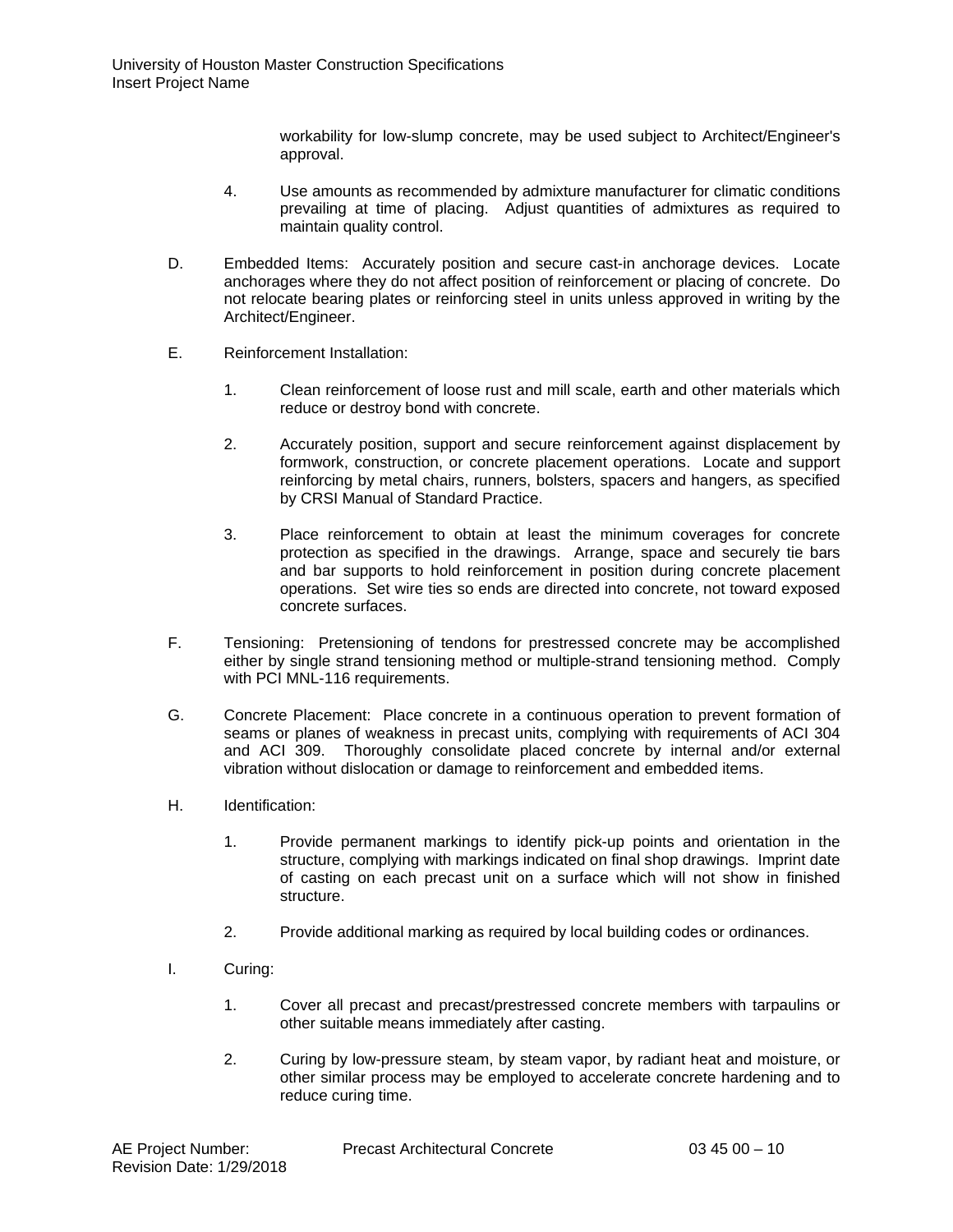workability for low-slump concrete, may be used subject to Architect/Engineer's approval.

- 4. Use amounts as recommended by admixture manufacturer for climatic conditions prevailing at time of placing. Adjust quantities of admixtures as required to maintain quality control.
- D. Embedded Items: Accurately position and secure cast-in anchorage devices. Locate anchorages where they do not affect position of reinforcement or placing of concrete. Do not relocate bearing plates or reinforcing steel in units unless approved in writing by the Architect/Engineer.
- E. Reinforcement Installation:
	- 1. Clean reinforcement of loose rust and mill scale, earth and other materials which reduce or destroy bond with concrete.
	- 2. Accurately position, support and secure reinforcement against displacement by formwork, construction, or concrete placement operations. Locate and support reinforcing by metal chairs, runners, bolsters, spacers and hangers, as specified by CRSI Manual of Standard Practice.
	- 3. Place reinforcement to obtain at least the minimum coverages for concrete protection as specified in the drawings. Arrange, space and securely tie bars and bar supports to hold reinforcement in position during concrete placement operations. Set wire ties so ends are directed into concrete, not toward exposed concrete surfaces.
- F. Tensioning: Pretensioning of tendons for prestressed concrete may be accomplished either by single strand tensioning method or multiple-strand tensioning method. Comply with PCI MNL-116 requirements.
- G. Concrete Placement: Place concrete in a continuous operation to prevent formation of seams or planes of weakness in precast units, complying with requirements of ACI 304 and ACI 309. Thoroughly consolidate placed concrete by internal and/or external vibration without dislocation or damage to reinforcement and embedded items.
- H. Identification:
	- 1. Provide permanent markings to identify pick-up points and orientation in the structure, complying with markings indicated on final shop drawings. Imprint date of casting on each precast unit on a surface which will not show in finished structure.
	- 2. Provide additional marking as required by local building codes or ordinances.
- I. Curing:
	- 1. Cover all precast and precast/prestressed concrete members with tarpaulins or other suitable means immediately after casting.
	- 2. Curing by low-pressure steam, by steam vapor, by radiant heat and moisture, or other similar process may be employed to accelerate concrete hardening and to reduce curing time.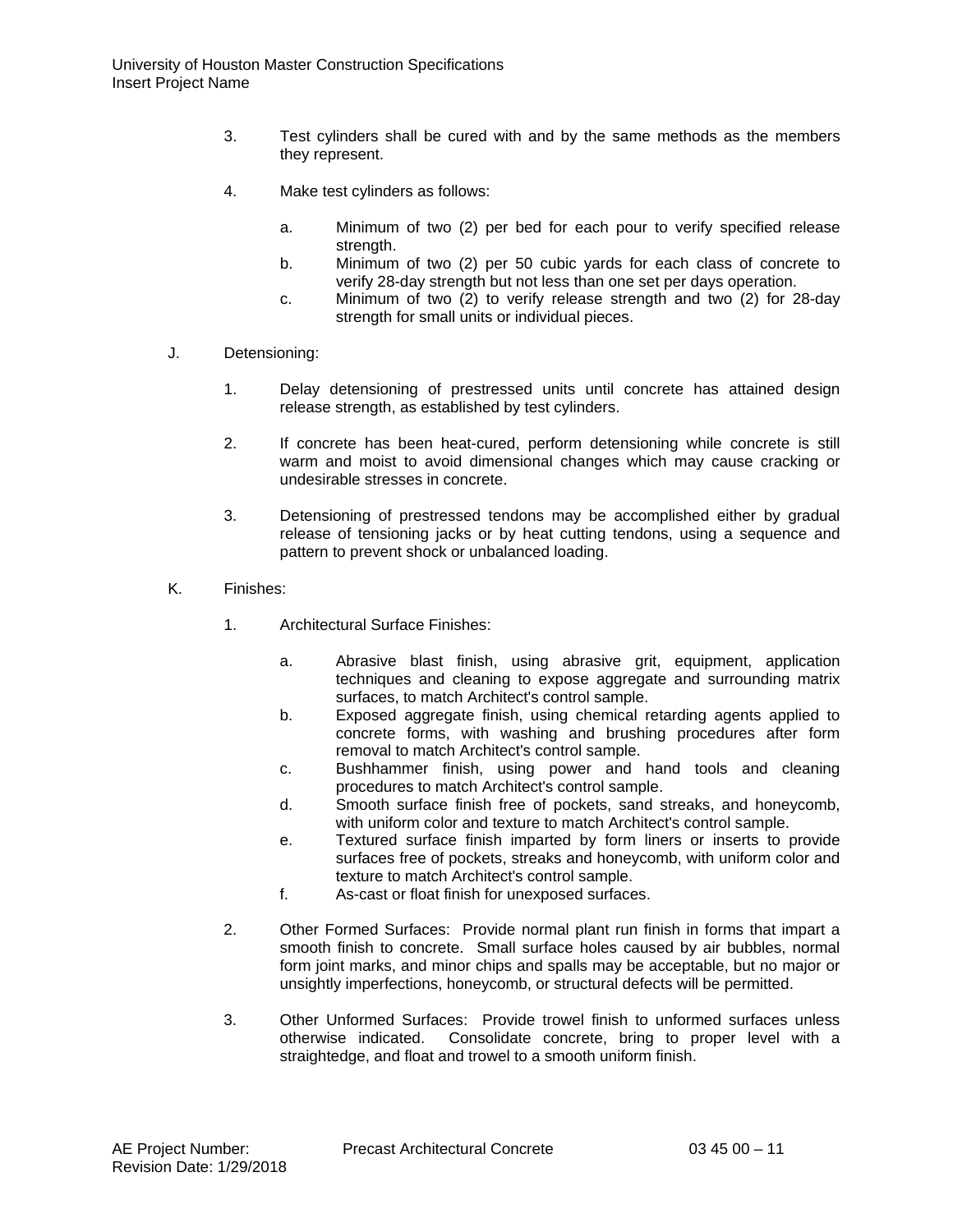- 3. Test cylinders shall be cured with and by the same methods as the members they represent.
- 4. Make test cylinders as follows:
	- a. Minimum of two (2) per bed for each pour to verify specified release strength.
	- b. Minimum of two (2) per 50 cubic yards for each class of concrete to verify 28-day strength but not less than one set per days operation.
	- c. Minimum of two (2) to verify release strength and two (2) for 28-day strength for small units or individual pieces.
- J. Detensioning:
	- 1. Delay detensioning of prestressed units until concrete has attained design release strength, as established by test cylinders.
	- 2. If concrete has been heat-cured, perform detensioning while concrete is still warm and moist to avoid dimensional changes which may cause cracking or undesirable stresses in concrete.
	- 3. Detensioning of prestressed tendons may be accomplished either by gradual release of tensioning jacks or by heat cutting tendons, using a sequence and pattern to prevent shock or unbalanced loading.
- K. Finishes:
	- 1. Architectural Surface Finishes:
		- a. Abrasive blast finish, using abrasive grit, equipment, application techniques and cleaning to expose aggregate and surrounding matrix surfaces, to match Architect's control sample.
		- b. Exposed aggregate finish, using chemical retarding agents applied to concrete forms, with washing and brushing procedures after form removal to match Architect's control sample.
		- c. Bushhammer finish, using power and hand tools and cleaning procedures to match Architect's control sample.
		- d. Smooth surface finish free of pockets, sand streaks, and honeycomb, with uniform color and texture to match Architect's control sample.
		- e. Textured surface finish imparted by form liners or inserts to provide surfaces free of pockets, streaks and honeycomb, with uniform color and texture to match Architect's control sample.
		- f. As-cast or float finish for unexposed surfaces.
	- 2. Other Formed Surfaces: Provide normal plant run finish in forms that impart a smooth finish to concrete. Small surface holes caused by air bubbles, normal form joint marks, and minor chips and spalls may be acceptable, but no major or unsightly imperfections, honeycomb, or structural defects will be permitted.
	- 3. Other Unformed Surfaces: Provide trowel finish to unformed surfaces unless otherwise indicated. Consolidate concrete, bring to proper level with a straightedge, and float and trowel to a smooth uniform finish.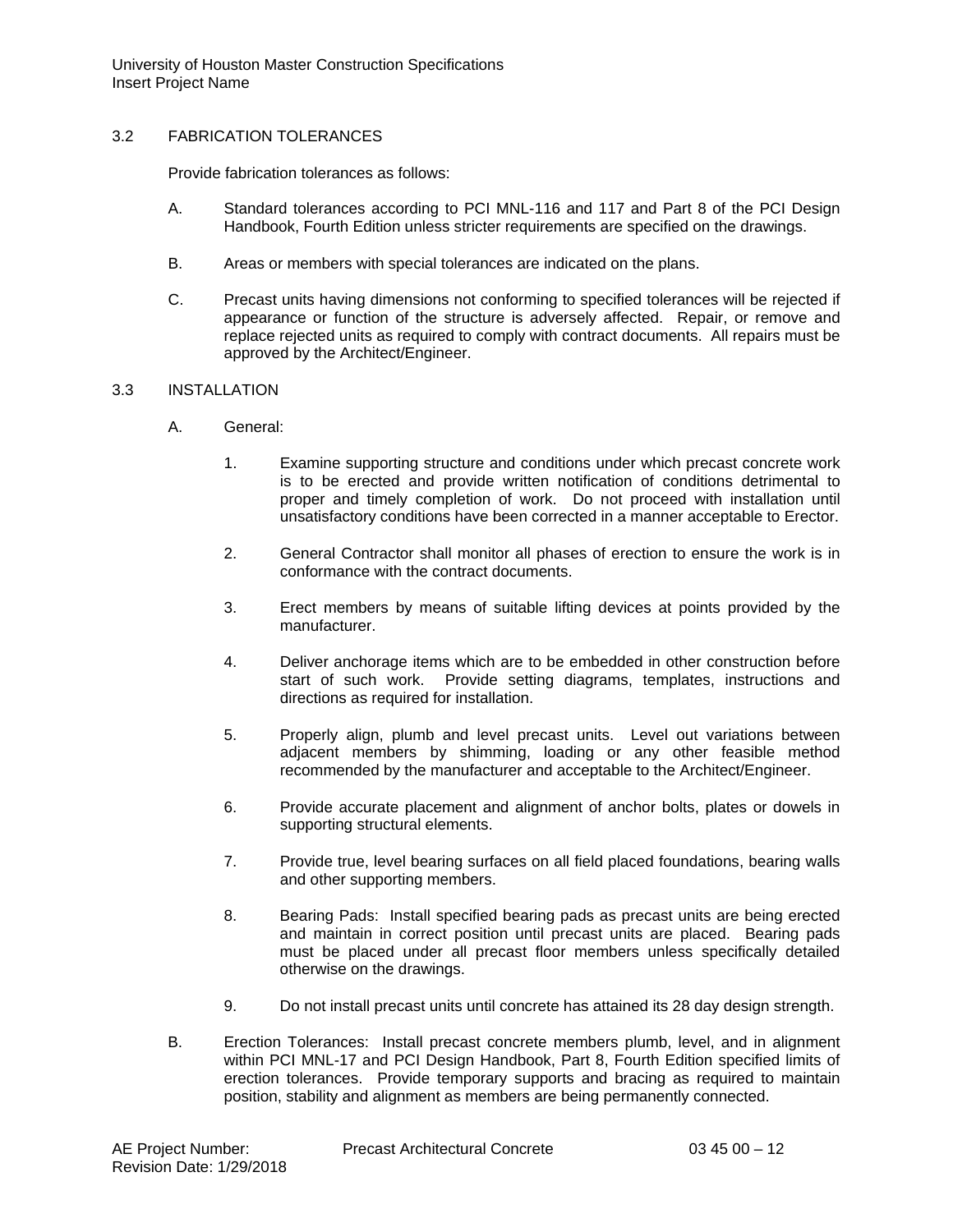University of Houston Master Construction Specifications Insert Project Name

# 3.2 FABRICATION TOLERANCES

Provide fabrication tolerances as follows:

- A. Standard tolerances according to PCI MNL-116 and 117 and Part 8 of the PCI Design Handbook, Fourth Edition unless stricter requirements are specified on the drawings.
- B. Areas or members with special tolerances are indicated on the plans.
- C. Precast units having dimensions not conforming to specified tolerances will be rejected if appearance or function of the structure is adversely affected. Repair, or remove and replace rejected units as required to comply with contract documents. All repairs must be approved by the Architect/Engineer.

#### 3.3 INSTALLATION

- A. General:
	- 1. Examine supporting structure and conditions under which precast concrete work is to be erected and provide written notification of conditions detrimental to proper and timely completion of work. Do not proceed with installation until unsatisfactory conditions have been corrected in a manner acceptable to Erector.
	- 2. General Contractor shall monitor all phases of erection to ensure the work is in conformance with the contract documents.
	- 3. Erect members by means of suitable lifting devices at points provided by the manufacturer.
	- 4. Deliver anchorage items which are to be embedded in other construction before start of such work. Provide setting diagrams, templates, instructions and directions as required for installation.
	- 5. Properly align, plumb and level precast units. Level out variations between adjacent members by shimming, loading or any other feasible method recommended by the manufacturer and acceptable to the Architect/Engineer.
	- 6. Provide accurate placement and alignment of anchor bolts, plates or dowels in supporting structural elements.
	- 7. Provide true, level bearing surfaces on all field placed foundations, bearing walls and other supporting members.
	- 8. Bearing Pads: Install specified bearing pads as precast units are being erected and maintain in correct position until precast units are placed. Bearing pads must be placed under all precast floor members unless specifically detailed otherwise on the drawings.
	- 9. Do not install precast units until concrete has attained its 28 day design strength.
- B. Erection Tolerances: Install precast concrete members plumb, level, and in alignment within PCI MNL-17 and PCI Design Handbook, Part 8, Fourth Edition specified limits of erection tolerances. Provide temporary supports and bracing as required to maintain position, stability and alignment as members are being permanently connected.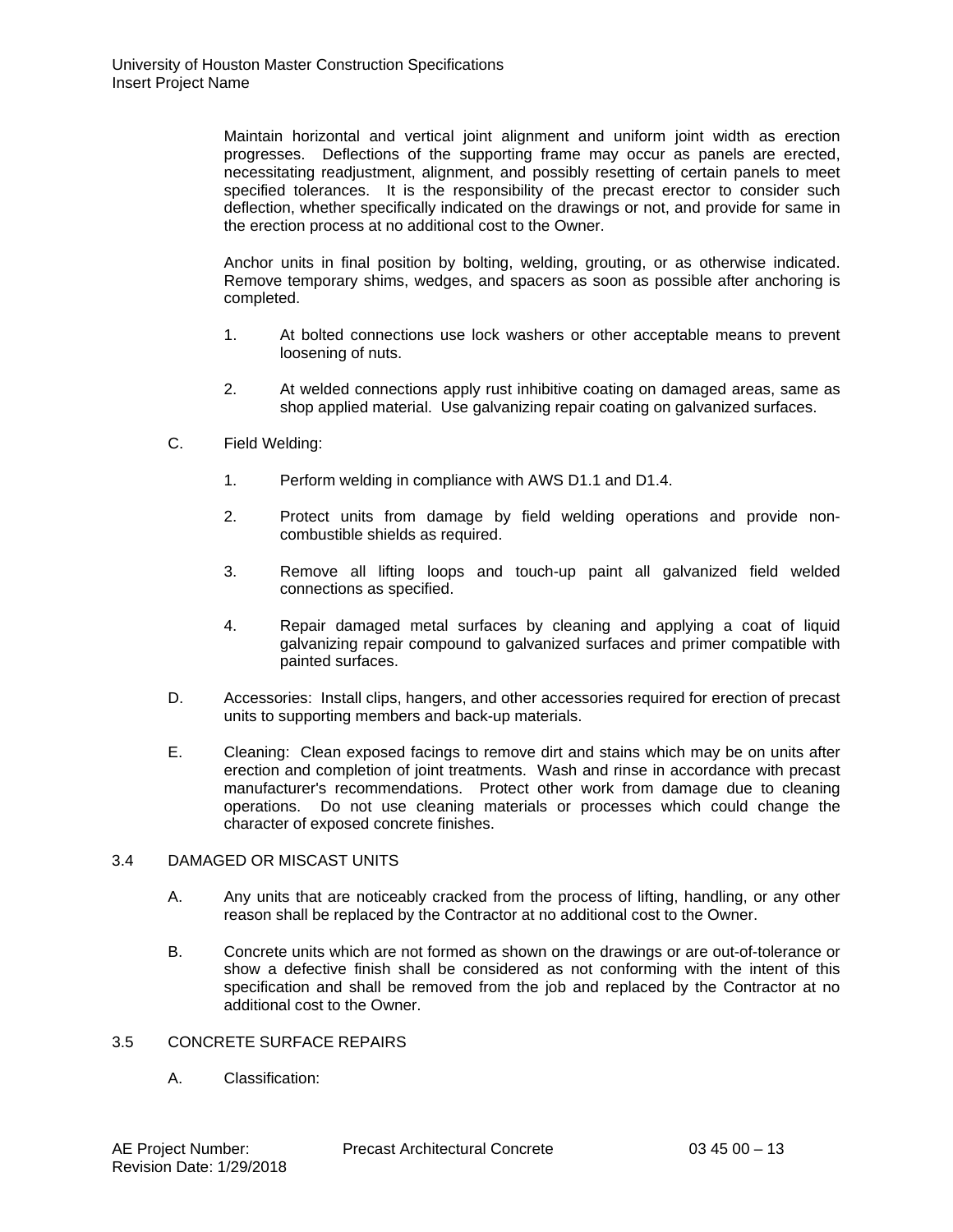Maintain horizontal and vertical joint alignment and uniform joint width as erection progresses. Deflections of the supporting frame may occur as panels are erected, necessitating readjustment, alignment, and possibly resetting of certain panels to meet specified tolerances. It is the responsibility of the precast erector to consider such deflection, whether specifically indicated on the drawings or not, and provide for same in the erection process at no additional cost to the Owner.

Anchor units in final position by bolting, welding, grouting, or as otherwise indicated. Remove temporary shims, wedges, and spacers as soon as possible after anchoring is completed.

- 1. At bolted connections use lock washers or other acceptable means to prevent loosening of nuts.
- 2. At welded connections apply rust inhibitive coating on damaged areas, same as shop applied material. Use galvanizing repair coating on galvanized surfaces.
- C. Field Welding:
	- 1. Perform welding in compliance with AWS D1.1 and D1.4.
	- 2. Protect units from damage by field welding operations and provide noncombustible shields as required.
	- 3. Remove all lifting loops and touch-up paint all galvanized field welded connections as specified.
	- 4. Repair damaged metal surfaces by cleaning and applying a coat of liquid galvanizing repair compound to galvanized surfaces and primer compatible with painted surfaces.
- D. Accessories: Install clips, hangers, and other accessories required for erection of precast units to supporting members and back-up materials.
- E. Cleaning: Clean exposed facings to remove dirt and stains which may be on units after erection and completion of joint treatments. Wash and rinse in accordance with precast manufacturer's recommendations. Protect other work from damage due to cleaning operations. Do not use cleaning materials or processes which could change the character of exposed concrete finishes.

# 3.4 DAMAGED OR MISCAST UNITS

- A. Any units that are noticeably cracked from the process of lifting, handling, or any other reason shall be replaced by the Contractor at no additional cost to the Owner.
- B. Concrete units which are not formed as shown on the drawings or are out-of-tolerance or show a defective finish shall be considered as not conforming with the intent of this specification and shall be removed from the job and replaced by the Contractor at no additional cost to the Owner.

# 3.5 CONCRETE SURFACE REPAIRS

A. Classification: